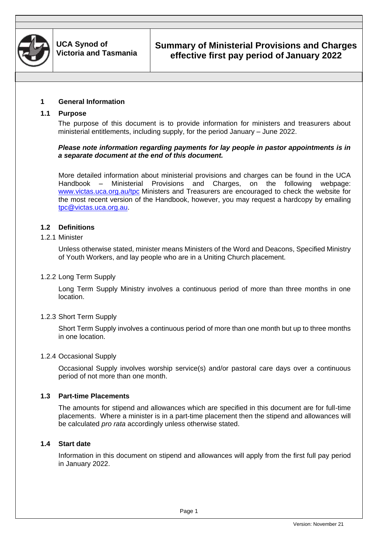

## **Summary of Ministerial Provisions and Charges effective first pay period of January 2022**

#### **1 General Information**

#### **1.1 Purpose**

The purpose of this document is to provide information for ministers and treasurers about ministerial entitlements, including supply, for the period January – June 2022.

#### *Please note information regarding payments for lay people in pastor appointments is in a separate document at the end of this document.*

More detailed information about ministerial provisions and charges can be found in the UCA Handbook – Ministerial Provisions and Charges, on the following webpage: [www.victas.uca.org.au/tpc](http://www.victas.uca.org.au/tpc) Ministers and Treasurers are encouraged to check the website for the most recent version of the Handbook, however, you may request a hardcopy by emailing [tpc@victas.uca.org.au.](mailto:tpc@victas.uca.org.au)

#### **1.2 Definitions**

#### 1.2.1 Minister

Unless otherwise stated, minister means Ministers of the Word and Deacons, Specified Ministry of Youth Workers, and lay people who are in a Uniting Church placement.

#### 1.2.2 Long Term Supply

Long Term Supply Ministry involves a continuous period of more than three months in one location.

#### 1.2.3 Short Term Supply

Short Term Supply involves a continuous period of more than one month but up to three months in one location.

#### 1.2.4 Occasional Supply

Occasional Supply involves worship service(s) and/or pastoral care days over a continuous period of not more than one month.

#### **1.3 Part-time Placements**

The amounts for stipend and allowances which are specified in this document are for full-time placements. Where a minister is in a part-time placement then the stipend and allowances will be calculated *pro rata* accordingly unless otherwise stated.

#### **1.4 Start date**

Information in this document on stipend and allowances will apply from the first full pay period in January 2022.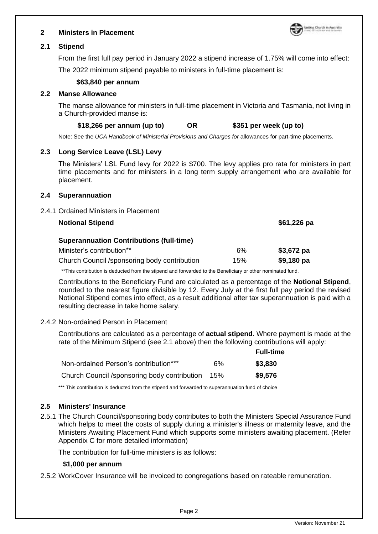

#### **2 Ministers in Placement**

#### **2.1 Stipend**

From the first full pay period in January 2022 a stipend increase of 1.75% will come into effect:

The 2022 minimum stipend payable to ministers in full-time placement is:

#### **\$63,840 per annum**

#### **2.2 Manse Allowance**

The manse allowance for ministers in full-time placement in Victoria and Tasmania, not living in a Church-provided manse is:

#### **\$18,266 per annum (up to) OR \$351 per week (up to)**

Note: See the *UCA Handbook of Ministerial Provisions and Charges for* allowances for part-time placements.

#### **2.3 Long Service Leave (LSL) Levy**

The Ministers' LSL Fund levy for 2022 is \$700. The levy applies pro rata for ministers in part time placements and for ministers in a long term supply arrangement who are available for placement.

#### **2.4 Superannuation**

2.4.1 Ordained Ministers in Placement

| <b>Notional Stipend</b>                         |     | $$61,226$ pa |
|-------------------------------------------------|-----|--------------|
| <b>Superannuation Contributions (full-time)</b> |     |              |
| Minister's contribution**                       | 6%  | $$3,672$ pa  |
| Church Council / sponsoring body contribution   | 15% | $$9,180$ pa  |

\*\*This contribution is deducted from the stipend and forwarded to the Beneficiary or other nominated fund.

Contributions to the Beneficiary Fund are calculated as a percentage of the **Notional Stipend**, rounded to the nearest figure divisible by 12. Every July at the first full pay period the revised Notional Stipend comes into effect, as a result additional after tax superannuation is paid with a resulting decrease in take home salary.

#### 2.4.2 Non-ordained Person in Placement

Contributions are calculated as a percentage of **actual stipend**. Where payment is made at the rate of the Minimum Stipend (see 2.1 above) then the following contributions will apply:

|                                              |     | <b>Full-time</b> |
|----------------------------------------------|-----|------------------|
| Non-ordained Person's contribution***        | 6%  | \$3,830          |
| Church Council /sponsoring body contribution | 15% | \$9,576          |

\*\*\* This contribution is deducted from the stipend and forwarded to superannuation fund of choice

#### **2.5 Ministers' Insurance**

2.5.1 The Church Council/sponsoring body contributes to both the Ministers Special Assurance Fund which helps to meet the costs of supply during a minister's illness or maternity leave, and the Ministers Awaiting Placement Fund which supports some ministers awaiting placement. (Refer Appendix C for more detailed information)

The contribution for full-time ministers is as follows:

#### **\$1,000 per annum**

2.5.2 WorkCover Insurance will be invoiced to congregations based on rateable remuneration.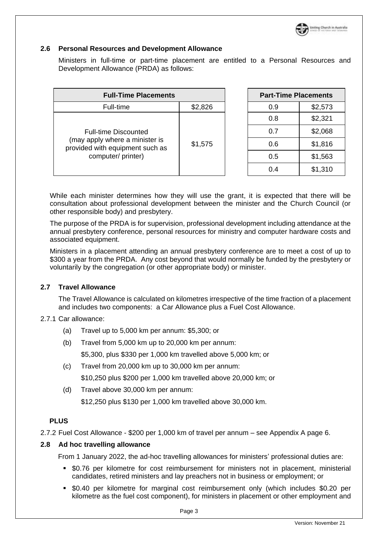

#### **2.6 Personal Resources and Development Allowance**

Ministers in full-time or part-time placement are entitled to a Personal Resources and Development Allowance (PRDA) as follows:

| <b>Full-Time Placements</b>                                                                                            |         | <b>Part-Time Placements</b> |         |
|------------------------------------------------------------------------------------------------------------------------|---------|-----------------------------|---------|
| \$2,826<br>Full-time                                                                                                   |         | 0.9                         | \$2,573 |
| <b>Full-time Discounted</b><br>(may apply where a minister is<br>provided with equipment such as<br>computer/ printer) |         | 0.8                         | \$2,321 |
|                                                                                                                        | \$1,575 | 0.7                         | \$2,068 |
|                                                                                                                        |         | 0.6                         | \$1,816 |
|                                                                                                                        |         | 0.5                         | \$1,563 |
|                                                                                                                        |         | 0.4                         | \$1,310 |

While each minister determines how they will use the grant, it is expected that there will be consultation about professional development between the minister and the Church Council (or other responsible body) and presbytery.

The purpose of the PRDA is for supervision, professional development including attendance at the annual presbytery conference, personal resources for ministry and computer hardware costs and associated equipment.

Ministers in a placement attending an annual presbytery conference are to meet a cost of up to \$300 a year from the PRDA. Any cost beyond that would normally be funded by the presbytery or voluntarily by the congregation (or other appropriate body) or minister.

#### **2.7 Travel Allowance**

The Travel Allowance is calculated on kilometres irrespective of the time fraction of a placement and includes two components: a Car Allowance plus a Fuel Cost Allowance.

#### 2.7.1 Car allowance:

- (a) Travel up to 5,000 km per annum: \$5,300; or
- (b) Travel from 5,000 km up to 20,000 km per annum: \$5,300, plus \$330 per 1,000 km travelled above 5,000 km; or
- (c) Travel from 20,000 km up to 30,000 km per annum: \$10,250 plus \$200 per 1,000 km travelled above 20,000 km; or
- (d) Travel above 30,000 km per annum: \$12,250 plus \$130 per 1,000 km travelled above 30,000 km.

#### **PLUS**

2.7.2 Fuel Cost Allowance - \$200 per 1,000 km of travel per annum – see Appendix A page 6.

#### **2.8 Ad hoc travelling allowance**

From 1 January 2022, the ad-hoc travelling allowances for ministers' professional duties are:

- \$0.76 per kilometre for cost reimbursement for ministers not in placement, ministerial candidates, retired ministers and lay preachers not in business or employment; or
- \$0.40 per kilometre for marginal cost reimbursement only (which includes \$0.20 per kilometre as the fuel cost component), for ministers in placement or other employment and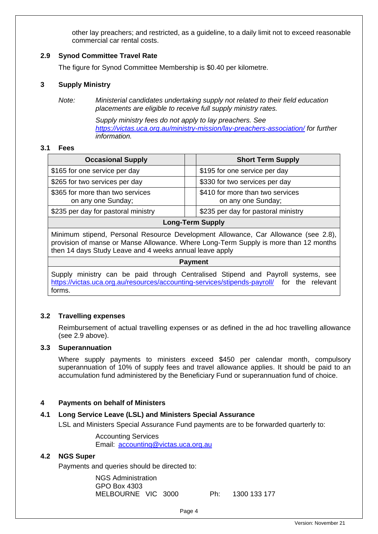other lay preachers; and restricted, as a guideline, to a daily limit not to exceed reasonable commercial car rental costs.

#### **2.9 Synod Committee Travel Rate**

The figure for Synod Committee Membership is \$0.40 per kilometre.

#### **3 Supply Ministry**

*Note: Ministerial candidates undertaking supply not related to their field education placements are eligible to receive full supply ministry rates.* 

> *Supply ministry fees do not apply to lay preachers. See <https://victas.uca.org.au/ministry-mission/lay-preachers-association/> for further information.*

#### **3.1 Fees**

| <b>Occasional Supply</b>                                                           | <b>Short Term Supply</b>                               |  |  |
|------------------------------------------------------------------------------------|--------------------------------------------------------|--|--|
| \$165 for one service per day                                                      | \$195 for one service per day                          |  |  |
| \$265 for two services per day                                                     | \$330 for two services per day                         |  |  |
| \$365 for more than two services<br>on any one Sunday;                             | \$410 for more than two services<br>on any one Sunday; |  |  |
| \$235 per day for pastoral ministry<br>\$235 per day for pastoral ministry         |                                                        |  |  |
| <b>Long-Term Supply</b>                                                            |                                                        |  |  |
| Minimum stipend, Personal Resource Development Allowance, Car Allowance (see 2.8), |                                                        |  |  |

provision of manse or Manse Allowance. Where Long-Term Supply is more than 12 months then 14 days Study Leave and 4 weeks annual leave apply

#### **Payment**

Supply ministry can be paid through Centralised Stipend and Payroll systems, see <https://victas.uca.org.au/resources/accounting-services/stipends-payroll/> for the relevant forms.

#### **3.2 Travelling expenses**

Reimbursement of actual travelling expenses or as defined in the ad hoc travelling allowance (see 2.9 above).

#### **3.3 Superannuation**

Where supply payments to ministers exceed \$450 per calendar month, compulsory superannuation of 10% of supply fees and travel allowance applies. It should be paid to an accumulation fund administered by the Beneficiary Fund or superannuation fund of choice.

#### **4 Payments on behalf of Ministers**

#### **4.1 Long Service Leave (LSL) and Ministers Special Assurance**

LSL and Ministers Special Assurance Fund payments are to be forwarded quarterly to:

Accounting Services Email: [accounting@victas.uca.org.au](mailto:accounting@victas.uca.org.au)

#### **4.2 NGS Super**

Payments and queries should be directed to:

NGS Administration GPO Box 4303 MELBOURNE VIC 3000 Ph: 1300 133 177

Page 4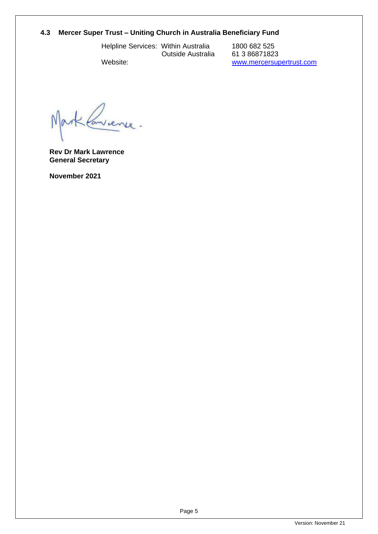# **4.3 Mercer Super Trust – Uniting Church in Australia Beneficiary Fund**

Helpline Services: Within Australia

Outside Australia

1800 682 525 61 3 86871823 [www.mercersupertrust.com](http://www.mercersupertrust.com/) 

Website:

Lanvience.

**Rev Dr Mark Lawrence General Secretary**

**November 2021**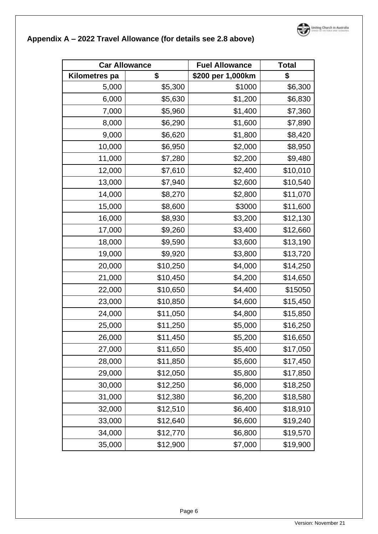

# **Appendix A – 2022 Travel Allowance (for details see 2.8 above)**

| <b>Car Allowance</b> |          | <b>Fuel Allowance</b> | <b>Total</b> |
|----------------------|----------|-----------------------|--------------|
| <b>Kilometres pa</b> | \$       | \$200 per 1,000km     | \$           |
| 5,000                | \$5,300  | \$1000                | \$6,300      |
| 6,000                | \$5,630  | \$1,200               | \$6,830      |
| 7,000                | \$5,960  | \$1,400               | \$7,360      |
| 8,000                | \$6,290  | \$1,600               | \$7,890      |
| 9,000                | \$6,620  | \$1,800               | \$8,420      |
| 10,000               | \$6,950  | \$2,000               | \$8,950      |
| 11,000               | \$7,280  | \$2,200               | \$9,480      |
| 12,000               | \$7,610  | \$2,400               | \$10,010     |
| 13,000               | \$7,940  | \$2,600               | \$10,540     |
| 14,000               | \$8,270  | \$2,800               | \$11,070     |
| 15,000               | \$8,600  | \$3000                | \$11,600     |
| 16,000               | \$8,930  | \$3,200               | \$12,130     |
| 17,000               | \$9,260  | \$3,400               | \$12,660     |
| 18,000               | \$9,590  | \$3,600               | \$13,190     |
| 19,000               | \$9,920  | \$3,800               | \$13,720     |
| 20,000               | \$10,250 | \$4,000               | \$14,250     |
| 21,000               | \$10,450 | \$4,200               | \$14,650     |
| 22,000               | \$10,650 | \$4,400               | \$15050      |
| 23,000               | \$10,850 | \$4,600               | \$15,450     |
| 24,000               | \$11,050 | \$4,800               | \$15,850     |
| 25,000               | \$11,250 | \$5,000               | \$16,250     |
| 26,000               | \$11,450 | \$5,200               | \$16,650     |
| 27,000               | \$11,650 | \$5,400               | \$17,050     |
| 28,000               | \$11,850 | \$5,600               | \$17,450     |
| 29,000               | \$12,050 | \$5,800               | \$17,850     |
| 30,000               | \$12,250 | \$6,000               | \$18,250     |
| 31,000               | \$12,380 | \$6,200               | \$18,580     |
| 32,000               | \$12,510 | \$6,400               | \$18,910     |
| 33,000               | \$12,640 | \$6,600               | \$19,240     |
| 34,000               | \$12,770 | \$6,800               | \$19,570     |
| 35,000               | \$12,900 | \$7,000               | \$19,900     |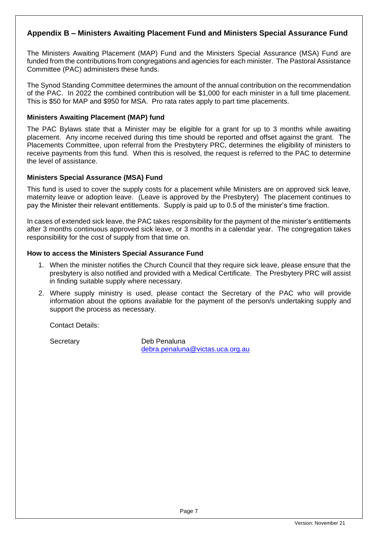## **Appendix B – Ministers Awaiting Placement Fund and Ministers Special Assurance Fund**

The Ministers Awaiting Placement (MAP) Fund and the Ministers Special Assurance (MSA) Fund are funded from the contributions from congregations and agencies for each minister. The Pastoral Assistance Committee (PAC) administers these funds.

The Synod Standing Committee determines the amount of the annual contribution on the recommendation of the PAC. In 2022 the combined contribution will be \$1,000 for each minister in a full time placement. This is \$50 for MAP and \$950 for MSA. Pro rata rates apply to part time placements.

#### **Ministers Awaiting Placement (MAP) fund**

The PAC Bylaws state that a Minister may be eligible for a grant for up to 3 months while awaiting placement. Any income received during this time should be reported and offset against the grant. The Placements Committee, upon referral from the Presbytery PRC, determines the eligibility of ministers to receive payments from this fund. When this is resolved, the request is referred to the PAC to determine the level of assistance.

#### **Ministers Special Assurance (MSA) Fund**

This fund is used to cover the supply costs for a placement while Ministers are on approved sick leave, maternity leave or adoption leave. (Leave is approved by the Presbytery) The placement continues to pay the Minister their relevant entitlements. Supply is paid up to 0.5 of the minister's time fraction.

In cases of extended sick leave, the PAC takes responsibility for the payment of the minister's entitlements after 3 months continuous approved sick leave, or 3 months in a calendar year. The congregation takes responsibility for the cost of supply from that time on.

#### **How to access the Ministers Special Assurance Fund**

- 1. When the minister notifies the Church Council that they require sick leave, please ensure that the presbytery is also notified and provided with a Medical Certificate. The Presbytery PRC will assist in finding suitable supply where necessary.
- 2. Where supply ministry is used, please contact the Secretary of the PAC who will provide information about the options available for the payment of the person/s undertaking supply and support the process as necessary.

Contact Details:

Secretary Deb Penaluna [debra.penaluna@victas.uca.org.au](mailto:debra.penaluna@victas.uca.org.au)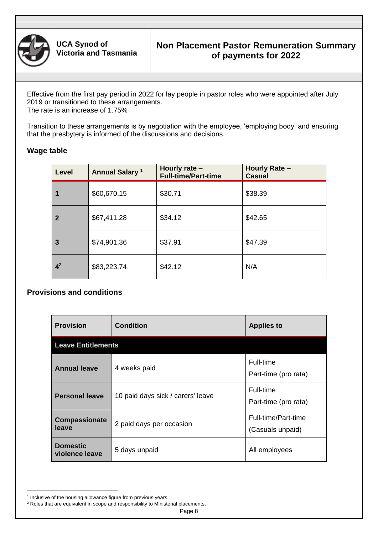

Effective from the first pay period in 2022 for lay people in pastor roles who were appointed after July 2019 or transitioned to these arrangements. The rate is an increase of 1.75%

Transition to these arrangements is by negotiation with the employee, 'employing body' and ensuring that the presbytery is informed of the discussions and decisions.

## **Wage table**

| Level          | <b>Annual Salary 1</b> | Hourly rate $-$<br><b>Full-time/Part-time</b> | <b>Hourly Rate -</b><br><b>Casual</b> |
|----------------|------------------------|-----------------------------------------------|---------------------------------------|
|                | \$60,670.15            | \$30.71                                       | \$38.39                               |
| $\mathbf{2}$   | \$67,411.28            | \$34.12                                       | \$42.65                               |
| 3              | \$74,901.36            | \$37.91                                       | \$47.39                               |
| 4 <sup>2</sup> | \$83,223.74            | \$42.12                                       | N/A                                   |

## **Provisions and conditions**

| <b>Provision</b>                  | <b>Condition</b>                  | <b>Applies to</b>                       |
|-----------------------------------|-----------------------------------|-----------------------------------------|
| <b>Leave Entitlements</b>         |                                   |                                         |
| <b>Annual leave</b>               | 4 weeks paid                      | Full-time<br>Part-time (pro rata)       |
| <b>Personal leave</b>             | 10 paid days sick / carers' leave | Full-time<br>Part-time (pro rata)       |
| <b>Compassionate</b><br>leave     | 2 paid days per occasion          | Full-time/Part-time<br>(Casuals unpaid) |
| <b>Domestic</b><br>violence leave | 5 days unpaid                     | All employees                           |

i<br>L

<sup>&</sup>lt;sup>1</sup> Inclusive of the housing allowance figure from previous years.

<sup>&</sup>lt;sup>2</sup> Roles that are equivalent in scope and responsibility to Ministerial placements.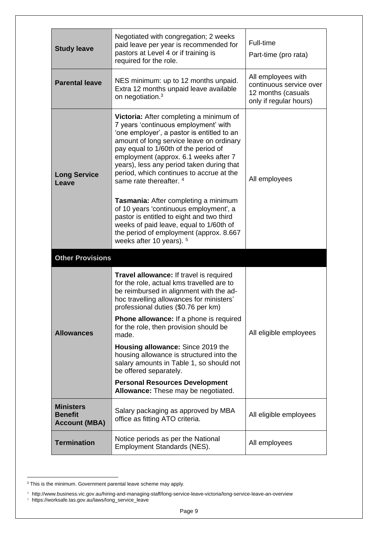| <b>Study leave</b>                                         | Negotiated with congregation; 2 weeks<br>paid leave per year is recommended for<br>pastors at Level 4 or if training is<br>required for the role.                                                                                                                                                                                                                                                                                                                                                                                                                                                                                          | Full-time<br>Part-time (pro rata)                                                             |
|------------------------------------------------------------|--------------------------------------------------------------------------------------------------------------------------------------------------------------------------------------------------------------------------------------------------------------------------------------------------------------------------------------------------------------------------------------------------------------------------------------------------------------------------------------------------------------------------------------------------------------------------------------------------------------------------------------------|-----------------------------------------------------------------------------------------------|
| <b>Parental leave</b>                                      | NES minimum: up to 12 months unpaid.<br>Extra 12 months unpaid leave available<br>on negotiation. <sup>3</sup>                                                                                                                                                                                                                                                                                                                                                                                                                                                                                                                             | All employees with<br>continuous service over<br>12 months (casuals<br>only if regular hours) |
| <b>Long Service</b><br>Leave                               | Victoria: After completing a minimum of<br>7 years 'continuous employment' with<br>'one employer', a pastor is entitled to an<br>amount of long service leave on ordinary<br>pay equal to 1/60th of the period of<br>employment (approx. 6.1 weeks after 7<br>years), less any period taken during that<br>period, which continues to accrue at the<br>same rate thereafter. 4<br>Tasmania: After completing a minimum<br>of 10 years 'continuous employment', a<br>pastor is entitled to eight and two third<br>weeks of paid leave, equal to 1/60th of<br>the period of employment (approx. 8.667<br>weeks after 10 years). <sup>5</sup> | All employees                                                                                 |
| <b>Other Provisions</b>                                    |                                                                                                                                                                                                                                                                                                                                                                                                                                                                                                                                                                                                                                            |                                                                                               |
| <b>Allowances</b>                                          | Travel allowance: If travel is required<br>for the role, actual kms travelled are to<br>be reimbursed in alignment with the ad-<br>hoc travelling allowances for ministers'<br>professional duties (\$0.76 per km)<br><b>Phone allowance:</b> If a phone is required<br>for the role, then provision should be<br>made.<br>Housing allowance: Since 2019 the<br>housing allowance is structured into the<br>salary amounts in Table 1, so should not                                                                                                                                                                                       | All eligible employees                                                                        |
|                                                            | be offered separately.<br><b>Personal Resources Development</b><br>Allowance: These may be negotiated.                                                                                                                                                                                                                                                                                                                                                                                                                                                                                                                                     |                                                                                               |
| <b>Ministers</b><br><b>Benefit</b><br><b>Account (MBA)</b> | Salary packaging as approved by MBA<br>office as fitting ATO criteria.                                                                                                                                                                                                                                                                                                                                                                                                                                                                                                                                                                     | All eligible employees                                                                        |
| <b>Termination</b>                                         | Notice periods as per the National<br>Employment Standards (NES).                                                                                                                                                                                                                                                                                                                                                                                                                                                                                                                                                                          | All employees                                                                                 |

i<br>L  $3$  This is the minimum. Government parental leave scheme may apply.

<sup>4</sup> http://www.business.vic.gov.au/hiring-and-managing-staff/long-service-leave-victoria/long-service-leave-an-overview <sup>5</sup> https://worksafe.tas.gov.au/laws/long\_service\_leave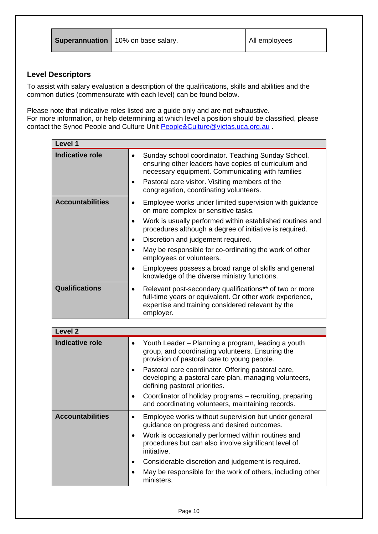## **Level Descriptors**

To assist with salary evaluation a description of the qualifications, skills and abilities and the common duties (commensurate with each level) can be found below.

Please note that indicative roles listed are a guide only and are not exhaustive. For more information, or help determining at which level a position should be classified, please contact the Synod People and Culture Unit [People&Culture@victas.uca.org.au](mailto:People&Culture@victas.uca.org.au) .

| Level 1                 |                                                                                                                                                                                       |
|-------------------------|---------------------------------------------------------------------------------------------------------------------------------------------------------------------------------------|
| <b>Indicative role</b>  | Sunday school coordinator. Teaching Sunday School,<br>$\bullet$<br>ensuring other leaders have copies of curriculum and<br>necessary equipment. Communicating with families           |
|                         | Pastoral care visitor. Visiting members of the<br>$\bullet$<br>congregation, coordinating volunteers.                                                                                 |
| <b>Accountabilities</b> | Employee works under limited supervision with guidance<br>on more complex or sensitive tasks.                                                                                         |
|                         | Work is usually performed within established routines and<br>٠<br>procedures although a degree of initiative is required.                                                             |
|                         | Discretion and judgement required.<br>$\bullet$                                                                                                                                       |
|                         | May be responsible for co-ordinating the work of other<br>$\bullet$<br>employees or volunteers.                                                                                       |
|                         | Employees possess a broad range of skills and general<br>$\bullet$<br>knowledge of the diverse ministry functions.                                                                    |
| <b>Qualifications</b>   | Relevant post-secondary qualifications** of two or more<br>full-time years or equivalent. Or other work experience,<br>expertise and training considered relevant by the<br>employer. |

| <b>Level 2</b>          |           |                                                                                                                                                       |
|-------------------------|-----------|-------------------------------------------------------------------------------------------------------------------------------------------------------|
| <b>Indicative role</b>  | ٠         | Youth Leader – Planning a program, leading a youth<br>group, and coordinating volunteers. Ensuring the<br>provision of pastoral care to young people. |
|                         | $\bullet$ | Pastoral care coordinator. Offering pastoral care,<br>developing a pastoral care plan, managing volunteers,<br>defining pastoral priorities.          |
|                         | ٠         | Coordinator of holiday programs – recruiting, preparing<br>and coordinating volunteers, maintaining records.                                          |
| <b>Accountabilities</b> |           | Employee works without supervision but under general<br>guidance on progress and desired outcomes.                                                    |
|                         | $\bullet$ | Work is occasionally performed within routines and<br>procedures but can also involve significant level of<br>initiative.                             |
|                         | ٠         | Considerable discretion and judgement is required.                                                                                                    |
|                         |           | May be responsible for the work of others, including other<br>ministers.                                                                              |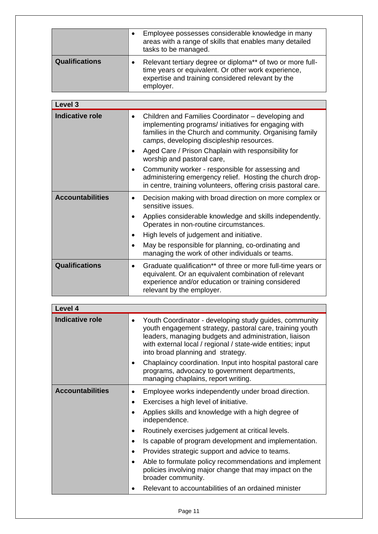|                       | Employee possesses considerable knowledge in many<br>areas with a range of skills that enables many detailed<br>tasks to be managed.                                                |
|-----------------------|-------------------------------------------------------------------------------------------------------------------------------------------------------------------------------------|
| <b>Qualifications</b> | Relevant tertiary degree or diploma** of two or more full-<br>time years or equivalent. Or other work experience,<br>expertise and training considered relevant by the<br>employer. |

| Level 3                 |                                                                                                                                                                                                                                 |
|-------------------------|---------------------------------------------------------------------------------------------------------------------------------------------------------------------------------------------------------------------------------|
| <b>Indicative role</b>  | Children and Families Coordinator - developing and<br>$\bullet$<br>implementing programs/ initiatives for engaging with<br>families in the Church and community. Organising family<br>camps, developing discipleship resources. |
|                         | Aged Care / Prison Chaplain with responsibility for<br>worship and pastoral care,                                                                                                                                               |
|                         | Community worker - responsible for assessing and<br>٠<br>administering emergency relief. Hosting the church drop-<br>in centre, training volunteers, offering crisis pastoral care.                                             |
| <b>Accountabilities</b> | Decision making with broad direction on more complex or<br>$\bullet$<br>sensitive issues.                                                                                                                                       |
|                         | Applies considerable knowledge and skills independently.<br>$\bullet$<br>Operates in non-routine circumstances.                                                                                                                 |
|                         | High levels of judgement and initiative.                                                                                                                                                                                        |
|                         | May be responsible for planning, co-ordinating and<br>$\bullet$<br>managing the work of other individuals or teams.                                                                                                             |
| <b>Qualifications</b>   | Graduate qualification** of three or more full-time years or<br>$\bullet$<br>equivalent. Or an equivalent combination of relevant<br>experience and/or education or training considered<br>relevant by the employer.            |

| Level 4                 |                                                                                                                                                                                                                                                                                              |
|-------------------------|----------------------------------------------------------------------------------------------------------------------------------------------------------------------------------------------------------------------------------------------------------------------------------------------|
| <b>Indicative role</b>  | Youth Coordinator - developing study guides, community<br>$\bullet$<br>youth engagement strategy, pastoral care, training youth<br>leaders, managing budgets and administration, liaison<br>with external local / regional / state-wide entities; input<br>into broad planning and strategy. |
|                         | Chaplaincy coordination. Input into hospital pastoral care<br>programs, advocacy to government departments,<br>managing chaplains, report writing.                                                                                                                                           |
| <b>Accountabilities</b> | Employee works independently under broad direction.<br>٠                                                                                                                                                                                                                                     |
|                         | Exercises a high level of initiative.<br>$\bullet$                                                                                                                                                                                                                                           |
|                         | Applies skills and knowledge with a high degree of<br>$\bullet$<br>independence.                                                                                                                                                                                                             |
|                         | Routinely exercises judgement at critical levels.<br>$\bullet$                                                                                                                                                                                                                               |
|                         | Is capable of program development and implementation.<br>$\bullet$                                                                                                                                                                                                                           |
|                         | Provides strategic support and advice to teams.<br>$\bullet$                                                                                                                                                                                                                                 |
|                         | Able to formulate policy recommendations and implement<br>$\bullet$<br>policies involving major change that may impact on the<br>broader community.                                                                                                                                          |
|                         | Relevant to accountabilities of an ordained minister                                                                                                                                                                                                                                         |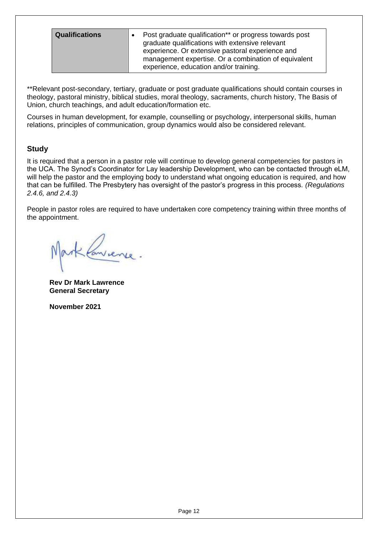| <b>Qualifications</b> |  | Post graduate qualification** or progress towards post<br>graduate qualifications with extensive relevant<br>experience. Or extensive pastoral experience and<br>management expertise. Or a combination of equivalent |
|-----------------------|--|-----------------------------------------------------------------------------------------------------------------------------------------------------------------------------------------------------------------------|
|                       |  | experience, education and/or training.                                                                                                                                                                                |

\*\*Relevant post-secondary, tertiary, graduate or post graduate qualifications should contain courses in theology, pastoral ministry, biblical studies, moral theology, sacraments, church history, The Basis of Union, church teachings, and adult education/formation etc.

Courses in human development, for example, counselling or psychology, interpersonal skills, human relations, principles of communication, group dynamics would also be considered relevant.

### **Study**

It is required that a person in a pastor role will continue to develop general competencies for pastors in the UCA. The Synod's Coordinator for Lay leadership Development, who can be contacted through eLM, will help the pastor and the employing body to understand what ongoing education is required, and how that can be fulfilled. The Presbytery has oversight of the pastor's progress in this process*. (Regulations 2.4.6, and 2.4.3)*

People in pastor roles are required to have undertaken core competency training within three months of the appointment.

**Rev Dr Mark Lawrence General Secretary**

**November 2021**